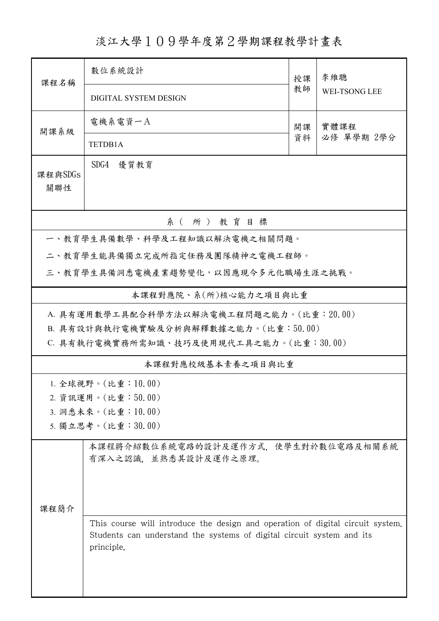## 淡江大學109學年度第2學期課程教學計畫表

| 課程名稱           | 數位系統設計                                                                                                                                                                | 授課 | 李維聰                |  |  |  |  |  |
|----------------|-----------------------------------------------------------------------------------------------------------------------------------------------------------------------|----|--------------------|--|--|--|--|--|
|                | DIGITAL SYSTEM DESIGN                                                                                                                                                 | 教師 | WEI-TSONG LEE      |  |  |  |  |  |
| 開課系級           | 電機系電資一A                                                                                                                                                               | 開課 | 實體課程<br>必修 單學期 2學分 |  |  |  |  |  |
|                | TETDB1A                                                                                                                                                               | 資料 |                    |  |  |  |  |  |
| 課程與SDGs<br>關聯性 | SDG4<br>優質教育                                                                                                                                                          |    |                    |  |  |  |  |  |
|                | 系(所)教育目標                                                                                                                                                              |    |                    |  |  |  |  |  |
|                | 一、教育學生具備數學、科學及工程知識以解決電機之相關問題。                                                                                                                                         |    |                    |  |  |  |  |  |
|                | 二、教育學生能具備獨立完成所指定任務及團隊精神之電機工程師。                                                                                                                                        |    |                    |  |  |  |  |  |
|                | 三、教育學生具備洞悉電機產業趨勢變化,以因應現今多元化職場生涯之挑戰。                                                                                                                                   |    |                    |  |  |  |  |  |
|                | 本課程對應院、系(所)核心能力之項目與比重                                                                                                                                                 |    |                    |  |  |  |  |  |
|                | A. 具有運用數學工具配合科學方法以解決電機工程問題之能力。(比重:20.00)                                                                                                                              |    |                    |  |  |  |  |  |
|                | B. 具有設計與執行電機實驗及分析與解釋數據之能力。(比重:50.00)                                                                                                                                  |    |                    |  |  |  |  |  |
|                | C. 具有執行電機實務所需知識、技巧及使用現代工具之能力。(比重:30.00)                                                                                                                               |    |                    |  |  |  |  |  |
|                | 本課程對應校級基本素養之項目與比重                                                                                                                                                     |    |                    |  |  |  |  |  |
|                | 1. 全球視野。(比重:10.00)                                                                                                                                                    |    |                    |  |  |  |  |  |
|                | 2. 資訊運用。(比重:50.00)                                                                                                                                                    |    |                    |  |  |  |  |  |
|                | 3. 洞悉未來。(比重:10.00)                                                                                                                                                    |    |                    |  |  |  |  |  |
|                | 5. 獨立思考。(比重:30.00)                                                                                                                                                    |    |                    |  |  |  |  |  |
| 课程简介           | 本課程將介紹數位系統電路的設計及運作方式、使學生對於數位電路及相關系統<br>有深入之認識、並熟悉其設計及運作之原理。                                                                                                           |    |                    |  |  |  |  |  |
|                | This course will introduce the design and operation of digital circuit system.<br>Students can understand the systems of digital circuit system and its<br>principle. |    |                    |  |  |  |  |  |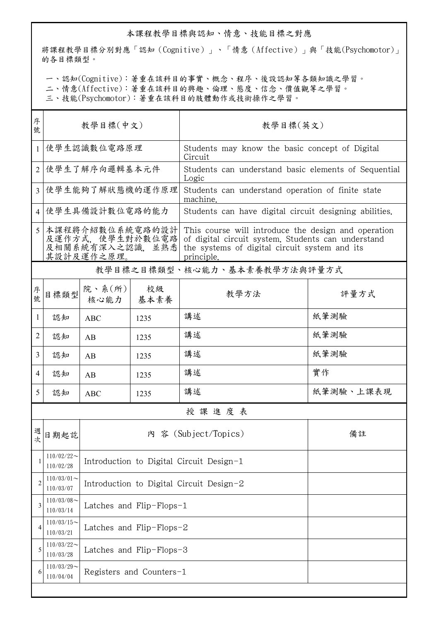## 本課程教學目標與認知、情意、技能目標之對應

將課程教學目標分別對應「認知(Cognitive)」、「情意(Affective)」與「技能(Psychomotor)」 的各目標類型。

一、認知(Cognitive):著重在該科目的事實、概念、程序、後設認知等各類知識之學習。

二、情意(Affective):著重在該科目的興趣、倫理、態度、信念、價值觀等之學習。

三、技能(Psychomotor):著重在該科目的肢體動作或技術操作之學習。

| 序<br>號         | 教學目標(中文)                                                             |                                          |                                          | 教學目標(英文)                                                                                                                                                                 |           |  |
|----------------|----------------------------------------------------------------------|------------------------------------------|------------------------------------------|--------------------------------------------------------------------------------------------------------------------------------------------------------------------------|-----------|--|
| $\mathbf{1}$   | 使學生認識數位電路原理                                                          |                                          |                                          | Students may know the basic concept of Digital<br>Circuit                                                                                                                |           |  |
| 2              | 使學生了解序向邏輯基本元件                                                        |                                          |                                          | Students can understand basic elements of Sequential<br>Logic                                                                                                            |           |  |
| 3              | 使學生能夠了解狀態機的運作原理                                                      |                                          |                                          | Students can understand operation of finite state<br>machine.                                                                                                            |           |  |
| 4              | 使學生具備設計數位電路的能力                                                       |                                          |                                          | Students can have digital circuit designing abilities.                                                                                                                   |           |  |
| $\varsigma$    | 本課程將介紹數位系統電路的設計<br>及運作方式,使學生對於數位電路<br>及相關系統有深入之認識, 並熟悉<br>其設計及運作之原理。 |                                          |                                          | This course will introduce the design and operation<br>of digital circuit system. Students can understand<br>the systems of digital circuit system and its<br>principle. |           |  |
|                |                                                                      |                                          |                                          | 教學目標之目標類型、核心能力、基本素養教學方法與評量方式                                                                                                                                             |           |  |
| 序號             | 目標類型                                                                 | 院、系 $(\text{m})$<br>核心能力                 | 校級<br>基本素養                               | 教學方法                                                                                                                                                                     | 評量方式      |  |
| 1              | 認知                                                                   | <b>ABC</b>                               | 1235                                     | 講述                                                                                                                                                                       | 紙筆測驗      |  |
| 2              | 認知                                                                   | AB                                       | 1235                                     | 講述                                                                                                                                                                       | 紙筆測驗      |  |
| $\overline{3}$ | 認知                                                                   | AB                                       | 1235                                     | 講述                                                                                                                                                                       | 紙筆測驗      |  |
| 4              | 認知                                                                   | AB                                       | 1235                                     | 講述                                                                                                                                                                       | 實作        |  |
| 5              | 認知                                                                   | <b>ABC</b>                               | 1235                                     | 講述                                                                                                                                                                       | 紙筆測驗、上課表現 |  |
|                |                                                                      |                                          |                                          | 授課進度表                                                                                                                                                                    |           |  |
|                | 四日期起訖                                                                |                                          |                                          | 内 容 (Subject/Topics)                                                                                                                                                     | 備註        |  |
| 1              | $110/02/22$ ~<br>110/02/28                                           | Introduction to Digital Circuit Design-1 |                                          |                                                                                                                                                                          |           |  |
| $\overline{2}$ | $110/03/01$ ~<br>110/03/07                                           |                                          | Introduction to Digital Circuit Design-2 |                                                                                                                                                                          |           |  |
| 3              | $110/03/08$ ~<br>110/03/14                                           |                                          | Latches and Flip-Flops-1                 |                                                                                                                                                                          |           |  |
| 4              | $110/03/15$ ~<br>110/03/21                                           |                                          | Latches and Flip-Flops-2                 |                                                                                                                                                                          |           |  |
| 5              | $110/03/22$ ~<br>110/03/28                                           | Latches and Flip-Flops-3                 |                                          |                                                                                                                                                                          |           |  |
| 6              | $110/03/29$ ~<br>110/04/04                                           |                                          | Registers and Counters-1                 |                                                                                                                                                                          |           |  |
|                |                                                                      |                                          |                                          |                                                                                                                                                                          |           |  |